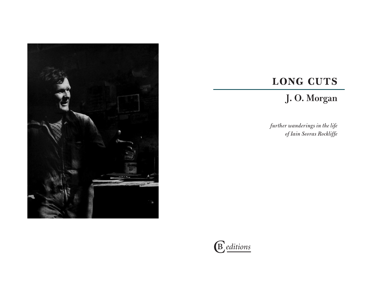

## LONG CUTS

## **J. O. Morgan**

*further wanderings in the life of Iain Seoras Rockliffe*

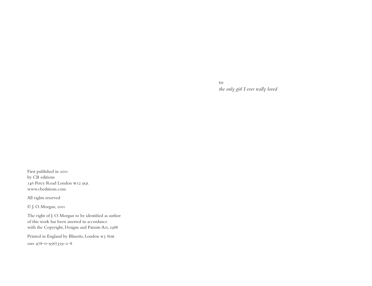to *the only girl I ever really loved*

First published in 2011 by CB editions 146 Percy Road London w12 9ql www.cbeditions.com

All rights reserved

© J. O. Morgan, 2011

The right of J. O. Morgan to be identified as author of this work has been asserted in accordance with the Copyright, Designs and Patents Act, 1988

Printed in England by Blissetts, London w3 8DH isbn 978–0–9567359–2–8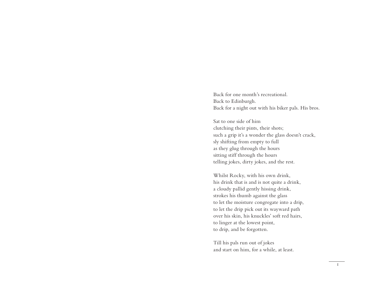Back for one month's recreational. Back to Edinburgh. Back for a night out with his biker pals. His bros.

Sat to one side of him clutching their pints, their shots; such a grip it's a wonder the glass doesn't crack, sly shifting from empty to full as they glug through the hours sitting stiff through the hours telling jokes, dirty jokes, and the rest.

Whilst Rocky, with his own drink, his drink that is and is not quite a drink, a cloudy pallid gently hissing drink, strokes his thumb against the glass to let the moisture congregate into a drip, to let the drip pick out its wayward path over his skin, his knuckles' soft red hairs, to linger at the lowest point, to drip, and be forgotten.

Till his pals run out of jokes and start on him, for a while, at least.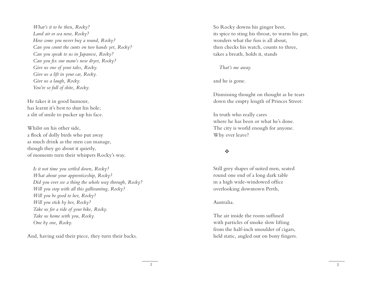*What's it to be then, Rocky? Land air or sea now, Rocky? How come you never buy a round, Rocky? Can you count the cunts on two hands yet, Rocky? Can you speak to us in Japanese, Rocky? Can you fix our mam's new dryer, Rocky? Give us one of your tales, Rocky. Give us a lift in your car, Rocky. Give us a laugh, Rocky. You're so full of shite, Rocky.*

He takes it in good humour, has learnt it's best to shut his hole; a slit of smile to pucker up his face.

Whilst on his other side, a flock of dolly birds who put away as much drink as the men can manage, though they go about it quietly, of moments turn their whispers Rocky's way.

*Is it not time you settled down, Rocky? What about your apprenticeship, Rocky? Did you ever see a thing the whole way through, Rocky? Will you stop with all this gallivanting, Rocky? Will you be good to her, Rocky? Will you stick by her, Rocky? Take us for a ride of your bike, Rocky. Take us home with you, Rocky. One by one, Rocky.*

And, having said their piece, they turn their backs.

So Rocky downs his ginger beer, its spice to sting his throat, to warm his gut, wonders what the fuss is all about, then checks his watch, counts to three, takes a breath, holds it, stands

*That's me away.*

and he is gone.

Dismissing thought on thought as he tears down the empty length of Princes Street:

In truth who really cares where he has been or what he's done. The city is world enough for anyone. Why ever leave?

## $\mathbf{v}_k^{\mathbf{e}_k}$

Still grey shapes of suited men, seated round one end of a long dark table in a high wide-windowed office overlooking downtown Perth,

## Australia.

The air inside the room suffused with particles of smoke slow lifting from the half-inch smoulder of cigars, held static, angled out on bony fingers.